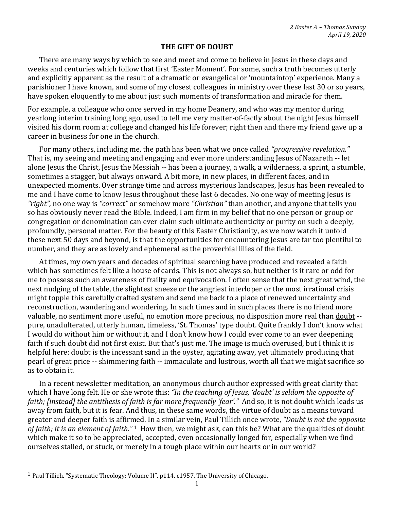## **THE GIFT OF DOUBT**

There are many ways by which to see and meet and come to believe in Jesus in these days and weeks and centuries which follow that first 'Easter Moment'. For some, such a truth becomes utterly and explicitly apparent as the result of a dramatic or evangelical or 'mountaintop' experience. Many a parishioner I have known, and some of my closest colleagues in ministry over these last 30 or so years, have spoken eloquently to me about just such moments of transformation and miracle for them.

For example, a colleague who once served in my home Deanery, and who was my mentor during yearlong interim training long ago, used to tell me very matter-of-factly about the night Jesus himself visited his dorm room at college and changed his life forever; right then and there my friend gave up a career in business for one in the church.

For many others, including me, the path has been what we once called *"progressive revelation."* That is, my seeing and meeting and engaging and ever more understanding Jesus of Nazareth -- let alone Jesus the Christ, Jesus the Messiah -- has been a journey, a walk, a wilderness, a sprint, a stumble, sometimes a stagger, but always onward. A bit more, in new places, in different faces, and in unexpected moments. Over strange time and across mysterious landscapes, Jesus has been revealed to me and I have come to know Jesus throughout these last 6 decades. No one way of meeting Jesus is *"right",* no one way is *"correct"* or somehow more *"Christian"* than another, and anyone that tells you so has obviously never read the Bible. Indeed, I am firm in my belief that no one person or group or congregation or denomination can ever claim such ultimate authenticity or purity on such a deeply, profoundly, personal matter. For the beauty of this Easter Christianity, as we now watch it unfold these next 50 days and beyond, is that the opportunities for encountering Jesus are far too plentiful to number, and they are as lovely and ephemeral as the proverbial lilies of the field.

At times, my own years and decades of spiritual searching have produced and revealed a faith which has sometimes felt like a house of cards. This is not always so, but neither is it rare or odd for me to possess such an awareness of frailty and equivocation. I often sense that the next great wind, the next nudging of the table, the slightest sneeze or the angriest interloper or the most irrational crisis might topple this carefully crafted system and send me back to a place of renewed uncertainty and reconstruction, wandering and wondering. In such times and in such places there is no friend more valuable, no sentiment more useful, no emotion more precious, no disposition more real than doubt - pure, unadulterated, utterly human, timeless, 'St. Thomas' type doubt. Quite frankly I don't know what I would do without him or without it, and I don't know how I could ever come to an ever deepening faith if such doubt did not first exist. But that's just me. The image is much overused, but I think it is helpful here: doubt is the incessant sand in the oyster, agitating away, yet ultimately producing that pearl of great price -- shimmering faith -- immaculate and lustrous, worth all that we might sacrifice so as to obtain it.

In a recent newsletter meditation, an anonymous church author expressed with great clarity that which I have long felt. He or she wrote this: *"In the teaching of Jesus, 'doubt' is seldom the opposite of faith; [instead] the antithesis of faith is far more frequently 'fear'."* And so, it is not doubt which leads us away from faith, but it is fear. And thus, in these same words, the virtue of doubt as a means toward greater and deeper faith is affirmed. In a similar vein, Paul Tillich once wrote, *"Doubt is not the opposite of faith; it is an element of faith."* <sup>1</sup> How then, we might ask, can this be? What are the qualities of doubt which make it so to be appreciated, accepted, even occasionally longed for, especially when we find ourselves stalled, or stuck, or merely in a tough place within our hearts or in our world?

<sup>1</sup> Paul Tillich. "Systematic Theology: Volume II". p114. c1957. The University of Chicago.